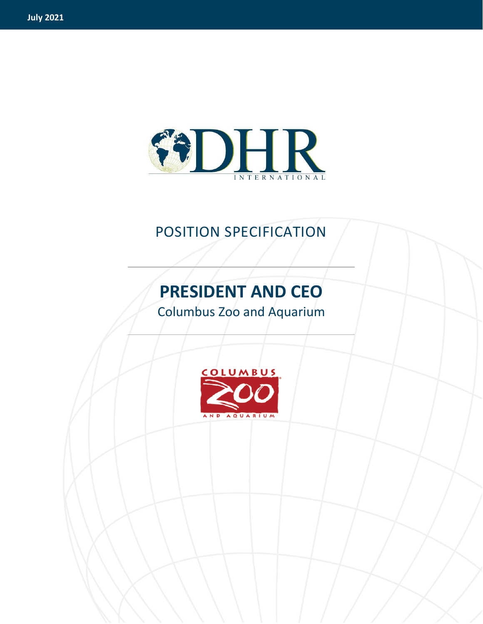

## POSITION SPECIFICATION

# **PRESIDENT AND CEO**

Columbus Zoo and Aquarium

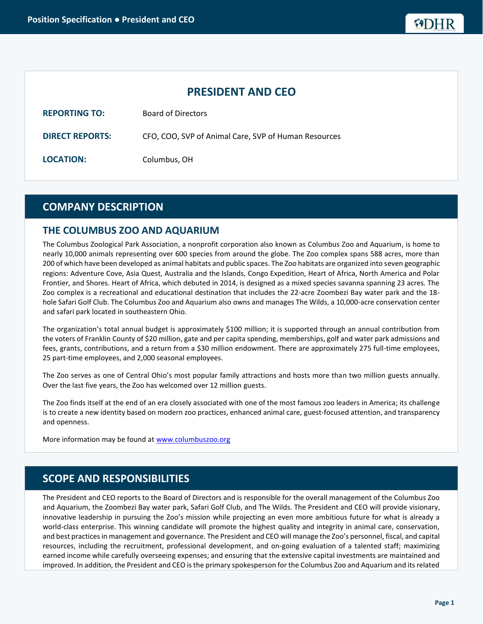## **PRESIDENT AND CEO**

| <b>REPORTING TO:</b>   | <b>Board of Directors</b>                            |
|------------------------|------------------------------------------------------|
| <b>DIRECT REPORTS:</b> | CFO, COO, SVP of Animal Care, SVP of Human Resources |
| <b>LOCATION:</b>       | Columbus, OH                                         |

## **COMPANY DESCRIPTION**

## **THE COLUMBUS ZOO AND AQUARIUM**

The Columbus Zoological Park Association, a nonprofit corporation also known as Columbus Zoo and Aquarium, is home to nearly 10,000 animals representing over 600 species from around the globe. The Zoo complex spans 588 acres, more than 200 of which have been developed as animal habitats and public spaces. The Zoo habitats are organized into seven geographic regions: Adventure Cove, Asia Quest, Australia and the Islands, Congo Expedition, Heart of Africa, North America and Polar Frontier, and Shores. Heart of Africa, which debuted in 2014, is designed as a mixed species savanna spanning 23 acres. The Zoo complex is a recreational and educational destination that includes the 22-acre Zoombezi Bay water park and the 18 hole Safari Golf Club. The Columbus Zoo and Aquarium also owns and manages The Wilds, a 10,000-acre conservation center and safari park located in southeastern Ohio.

The organization's total annual budget is approximately \$100 million; it is supported through an annual contribution from the voters of Franklin County of \$20 million, gate and per capita spending, memberships, golf and water park admissions and fees, grants, contributions, and a return from a \$30 million endowment. There are approximately 275 full-time employees, 25 part-time employees, and 2,000 seasonal employees.

The Zoo serves as one of Central Ohio's most popular family attractions and hosts more than two million guests annually. Over the last five years, the Zoo has welcomed over 12 million guests.

The Zoo finds itself at the end of an era closely associated with one of the most famous zoo leaders in America; its challenge is to create a new identity based on modern zoo practices, enhanced animal care, guest-focused attention, and transparency and openness.

More information may be found at [www.columbuszoo.org](http://www.columbuszoo.org/)

## **SCOPE AND RESPONSIBILITIES**

The President and CEO reports to the Board of Directors and is responsible for the overall management of the Columbus Zoo and Aquarium, the Zoombezi Bay water park, Safari Golf Club, and The Wilds. The President and CEO will provide visionary, innovative leadership in pursuing the Zoo's mission while projecting an even more ambitious future for what is already a world-class enterprise. This winning candidate will promote the highest quality and integrity in animal care, conservation, and best practices in management and governance. The President and CEO will manage the Zoo's personnel, fiscal, and capital resources, including the recruitment, professional development, and on-going evaluation of a talented staff; maximizing earned income while carefully overseeing expenses; and ensuring that the extensive capital investments are maintained and improved. In addition, the President and CEO is the primary spokesperson for the Columbus Zoo and Aquarium and its related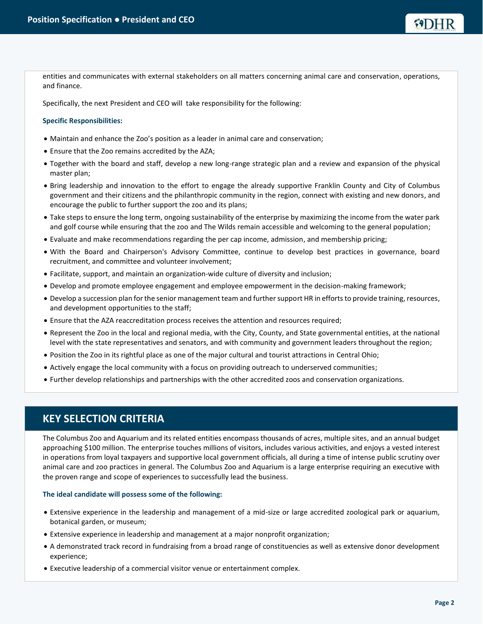entities and communicates with external stakeholders on all matters concerning animal care and conservation, operations, and finance.

Specifically, the next President and CEO will take responsibility for the following:

#### **Specific Responsibilities:**

- Maintain and enhance the Zoo's position as a leader in animal care and conservation;
- Ensure that the Zoo remains accredited by the AZA;
- Together with the board and staff, develop a new long-range strategic plan and a review and expansion of the physical master plan;
- Bring leadership and innovation to the effort to engage the already supportive Franklin County and City of Columbus government and their citizens and the philanthropic community in the region, connect with existing and new donors, and encourage the public to further support the zoo and its plans;
- Take steps to ensure the long term, ongoing sustainability of the enterprise by maximizing the income from the water park and golf course while ensuring that the zoo and The Wilds remain accessible and welcoming to the general population;
- Evaluate and make recommendations regarding the per cap income, admission, and membership pricing;
- With the Board and Chairperson's Advisory Committee, continue to develop best practices in governance, board recruitment, and committee and volunteer involvement;
- Facilitate, support, and maintain an organization-wide culture of diversity and inclusion;
- Develop and promote employee engagement and employee empowerment in the decision-making framework;
- Develop a succession plan for the senior management team and further support HR in efforts to provide training, resources, and development opportunities to the staff;
- Ensure that the AZA reaccreditation process receives the attention and resources required;
- Represent the Zoo in the local and regional media, with the City, County, and State governmental entities, at the national level with the state representatives and senators, and with community and government leaders throughout the region;
- Position the Zoo in its rightful place as one of the major cultural and tourist attractions in Central Ohio;
- Actively engage the local community with a focus on providing outreach to underserved communities;
- Further develop relationships and partnerships with the other accredited zoos and conservation organizations.

## **KEY SELECTION CRITERIA**

The Columbus Zoo and Aquarium and its related entities encompass thousands of acres, multiple sites, and an annual budget approaching \$100 million. The enterprise touches millions of visitors, includes various activities, and enjoys a vested interest in operations from loyal taxpayers and supportive local government officials, all during a time of intense public scrutiny over animal care and zoo practices in general. The Columbus Zoo and Aquarium is a large enterprise requiring an executive with the proven range and scope of experiences to successfully lead the business.

#### **The ideal candidate will possess some of the following:**

- Extensive experience in the leadership and management of a mid-size or large accredited zoological park or aquarium, botanical garden, or museum;
- Extensive experience in leadership and management at a major nonprofit organization;
- A demonstrated track record in fundraising from a broad range of constituencies as well as extensive donor development experience;
- Executive leadership of a commercial visitor venue or entertainment complex.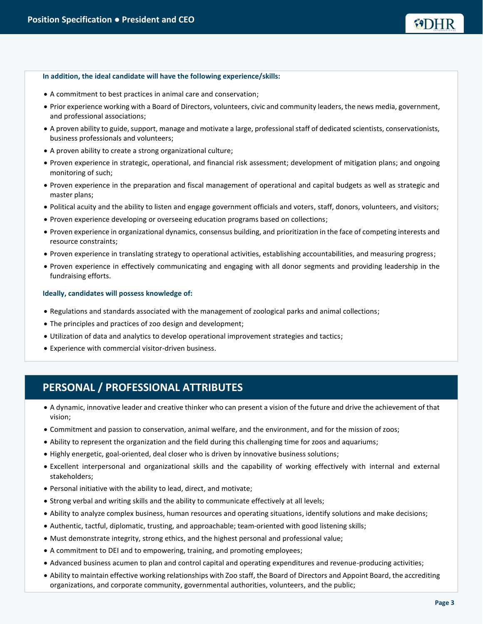#### **In addition, the ideal candidate will have the following experience/skills:**

- A commitment to best practices in animal care and conservation;
- Prior experience working with a Board of Directors, volunteers, civic and community leaders, the news media, government, and professional associations;
- A proven ability to guide, support, manage and motivate a large, professional staff of dedicated scientists, conservationists, business professionals and volunteers;
- A proven ability to create a strong organizational culture;
- Proven experience in strategic, operational, and financial risk assessment; development of mitigation plans; and ongoing monitoring of such;
- Proven experience in the preparation and fiscal management of operational and capital budgets as well as strategic and master plans;
- Political acuity and the ability to listen and engage government officials and voters, staff, donors, volunteers, and visitors;
- Proven experience developing or overseeing education programs based on collections;
- Proven experience in organizational dynamics, consensus building, and prioritization in the face of competing interests and resource constraints;
- Proven experience in translating strategy to operational activities, establishing accountabilities, and measuring progress;
- Proven experience in effectively communicating and engaging with all donor segments and providing leadership in the fundraising efforts.

#### **Ideally, candidates will possess knowledge of:**

- Regulations and standards associated with the management of zoological parks and animal collections;
- The principles and practices of zoo design and development;
- Utilization of data and analytics to develop operational improvement strategies and tactics;
- Experience with commercial visitor-driven business.

## **PERSONAL / PROFESSIONAL ATTRIBUTES**

- A dynamic, innovative leader and creative thinker who can present a vision of the future and drive the achievement of that vision;
- Commitment and passion to conservation, animal welfare, and the environment, and for the mission of zoos;
- Ability to represent the organization and the field during this challenging time for zoos and aquariums;
- Highly energetic, goal-oriented, deal closer who is driven by innovative business solutions;
- Excellent interpersonal and organizational skills and the capability of working effectively with internal and external stakeholders;
- Personal initiative with the ability to lead, direct, and motivate;
- Strong verbal and writing skills and the ability to communicate effectively at all levels;
- Ability to analyze complex business, human resources and operating situations, identify solutions and make decisions;
- Authentic, tactful, diplomatic, trusting, and approachable; team-oriented with good listening skills;
- Must demonstrate integrity, strong ethics, and the highest personal and professional value;
- A commitment to DEI and to empowering, training, and promoting employees;
- Advanced business acumen to plan and control capital and operating expenditures and revenue-producing activities;
- Ability to maintain effective working relationships with Zoo staff, the Board of Directors and Appoint Board, the accrediting organizations, and corporate community, governmental authorities, volunteers, and the public;